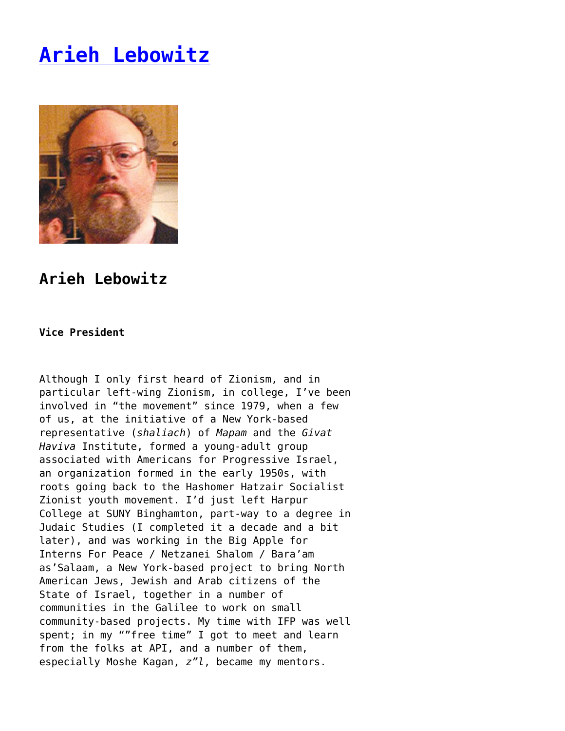## **[Arieh Lebowitz](https://www.progressiveisrael.org/about-us/staff/arieh-lebowitz/)**



## **Arieh Lebowitz**

## **Vice President**

Although I only first heard of Zionism, and in particular left-wing Zionism, in college, I've been involved in "the movement" since 1979, when a few of us, at the initiative of a New York-based representative (*shaliach*) of *Mapam* and the *Givat Haviva* Institute, formed a young-adult group associated with Americans for Progressive Israel, an organization formed in the early 1950s, with roots going back to the Hashomer Hatzair Socialist Zionist youth movement. I'd just left Harpur College at SUNY Binghamton, part-way to a degree in Judaic Studies (I completed it a decade and a bit later), and was working in the Big Apple for Interns For Peace / Netzanei Shalom / Bara'am as'Salaam, a New York-based project to bring North American Jews, Jewish and Arab citizens of the State of Israel, together in a number of communities in the Galilee to work on small community-based projects. My time with IFP was well spent; in my ""free time" I got to meet and learn from the folks at API, and a number of them, especially Moshe Kagan, *z"l*, became my mentors.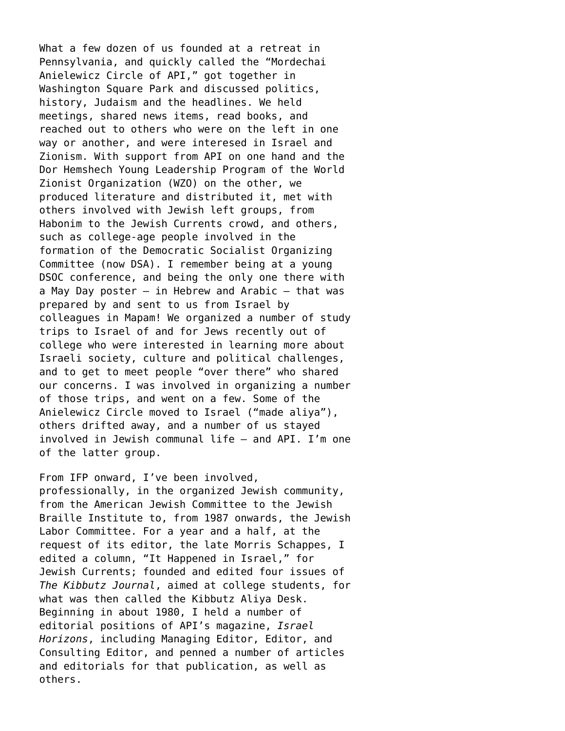What a few dozen of us founded at a retreat in Pennsylvania, and quickly called the "Mordechai Anielewicz Circle of API," got together in Washington Square Park and discussed politics, history, Judaism and the headlines. We held meetings, shared news items, read books, and reached out to others who were on the left in one way or another, and were interesed in Israel and Zionism. With support from API on one hand and the Dor Hemshech Young Leadership Program of the World Zionist Organization (WZO) on the other, we produced literature and distributed it, met with others involved with Jewish left groups, from Habonim to the Jewish Currents crowd, and others, such as college-age people involved in the formation of the Democratic Socialist Organizing Committee (now DSA). I remember being at a young DSOC conference, and being the only one there with a May Day poster – in Hebrew and Arabic – that was prepared by and sent to us from Israel by colleagues in Mapam! We organized a number of study trips to Israel of and for Jews recently out of college who were interested in learning more about Israeli society, culture and political challenges, and to get to meet people "over there" who shared our concerns. I was involved in organizing a number of those trips, and went on a few. Some of the Anielewicz Circle moved to Israel ("made aliya"), others drifted away, and a number of us stayed involved in Jewish communal life – and API. I'm one of the latter group.

From IFP onward, I've been involved, professionally, in the organized Jewish community, from the American Jewish Committee to the Jewish Braille Institute to, from 1987 onwards, the Jewish Labor Committee. For a year and a half, at the request of its editor, the late Morris Schappes, I edited a column, "It Happened in Israel," for Jewish Currents; founded and edited four issues of *The Kibbutz Journal*, aimed at college students, for what was then called the Kibbutz Aliya Desk. Beginning in about 1980, I held a number of editorial positions of API's magazine, *Israel Horizons*, including Managing Editor, Editor, and Consulting Editor, and penned a number of articles and editorials for that publication, as well as others.